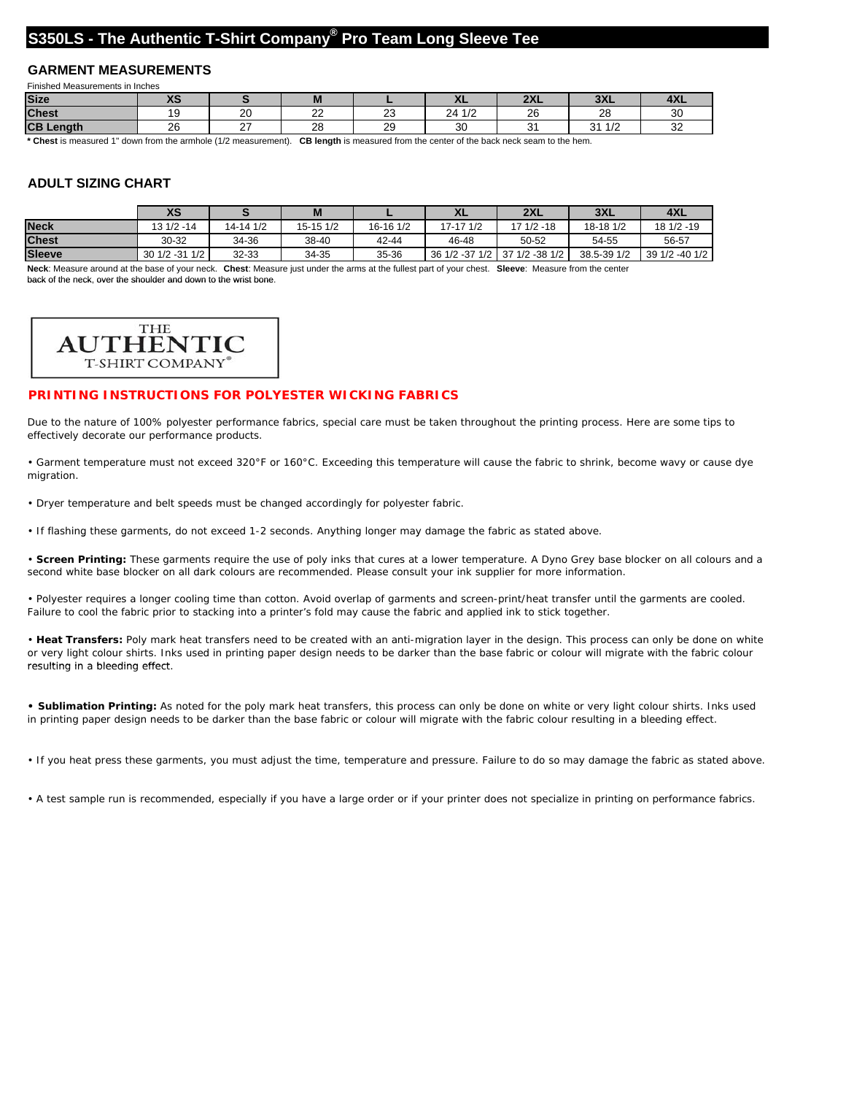## **S350LS - The Authentic T-Shirt Company® Pro Team Long Sleeve Tee**

### **GARMENT MEASUREMENTS**

| Finished Measurements in Inches |                  |         |              |                |                              |                |                                  |                 |  |  |  |
|---------------------------------|------------------|---------|--------------|----------------|------------------------------|----------------|----------------------------------|-----------------|--|--|--|
| <b>Size</b>                     | <b>100</b><br>79 |         |              |                | $\sqrt{ }$                   | $\sim$<br>6/W- | nv<br>ᆳᆺᆫ                        | $-7 - 7$<br>ĦЛL |  |  |  |
| <b>Chest</b>                    |                  | nn<br>∼ | $\sim$<br>__ | $\sim$<br>∼    | $\overline{4}$<br>24<br>17 Z | າຂ<br>ZU       | ററ<br>້                          | ັບ              |  |  |  |
| CB <sub>I</sub><br>Lenath       | 26               |         | ററ<br>∠∪     | $\Omega$<br>20 | $\sim$<br>◡                  | c.             | $\overline{A}$<br>ົ<br>17 Z<br>ັ | ັ               |  |  |  |

**\* Chest** is measured 1" down from the armhole (1/2 measurement). **CB length** is measured from the center of the back neck seam to the hem.

### **ADULT SIZING CHART**

|               | XS             |           | M         |           | ᅀᄂ             | 2XL            | 3XL         | 4XL            |
|---------------|----------------|-----------|-----------|-----------|----------------|----------------|-------------|----------------|
| <b>Neck</b>   | $131/2 - 14$   | 14-14 1/2 | 15-15 1/2 | 16-16 1/2 | 17-17 1/2      | $171/2 - 18$   | 18-18 1/2   | 18 1/2 -19     |
| <b>Chest</b>  | 30-32          | 34-36     | 38-40     | 42-44     | 46-48          | 50-52          | 54-55       | 56-57          |
| <b>Sleeve</b> | 30 1/2 -31 1/2 | 32-33     | 34-35     | 35-36     | 36 1/2 -37 1/2 | 37 1/2 -38 1/2 | 38.5-39 1/2 | 39 1/2 -40 1/2 |

**Neck**: Measure around at the base of your neck. **Chest**: Measure just under the arms at the fullest part of your chest. **Sleeve**: Measure from the center back of the neck, over the shoulder and down to the wrist bone.



#### **PRINTING INSTRUCTIONS FOR POLYESTER WICKING FABRICS**

Due to the nature of 100% polyester performance fabrics, special care must be taken throughout the printing process. Here are some tips to effectively decorate our performance products.

• Garment temperature must not exceed 320°F or 160°C. Exceeding this temperature will cause the fabric to shrink, become wavy or cause dye migration.

• Dryer temperature and belt speeds must be changed accordingly for polyester fabric.

• If flashing these garments, do not exceed 1-2 seconds. Anything longer may damage the fabric as stated above.

• **Screen Printing:** These garments require the use of poly inks that cures at a lower temperature. A Dyno Grey base blocker on all colours and a second white base blocker on all dark colours are recommended. Please consult your ink supplier for more information.

• Polyester requires a longer cooling time than cotton. Avoid overlap of garments and screen-print/heat transfer until the garments are cooled. Failure to cool the fabric prior to stacking into a printer's fold may cause the fabric and applied ink to stick together.

• **Heat Transfers:** Poly mark heat transfers need to be created with an anti-migration layer in the design. This process can only be done on white or very light colour shirts. Inks used in printing paper design needs to be darker than the base fabric or colour will migrate with the fabric colour resulting in a bleeding effect.

**• Sublimation Printing:** As noted for the poly mark heat transfers, this process can only be done on white or very light colour shirts. Inks used in printing paper design needs to be darker than the base fabric or colour will migrate with the fabric colour resulting in a bleeding effect.

• If you heat press these garments, you must adjust the time, temperature and pressure. Failure to do so may damage the fabric as stated above.

• A test sample run is recommended, especially if you have a large order or if your printer does not specialize in printing on performance fabrics.